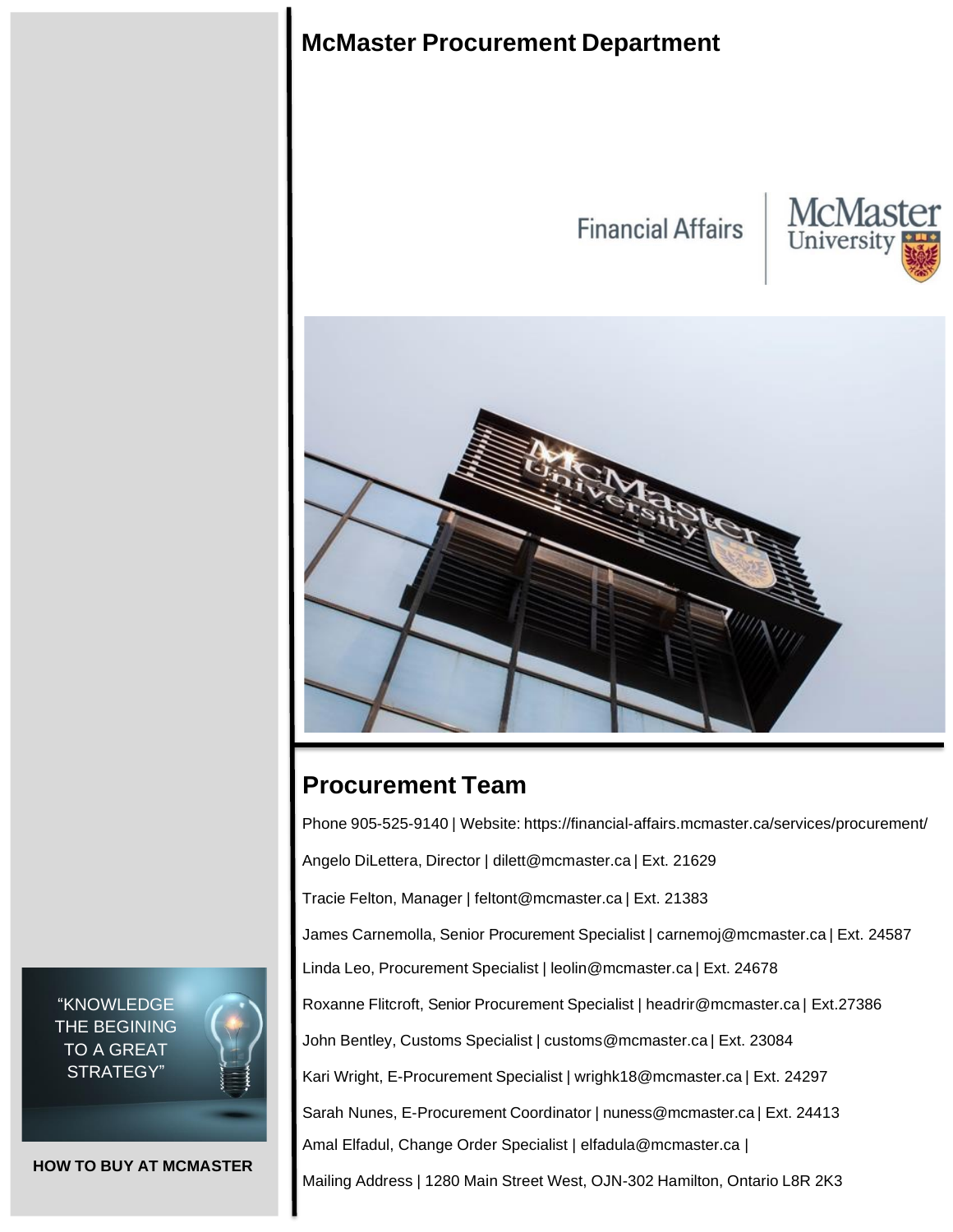

# **Procurement Team**

Phone 905-525-9140 | Website: https://financial-affairs.mcmaster.ca/services/procurement/

Angelo DiLettera, Director | [dilett@mcmaster.ca](mailto:dilett@mcmaster.ca) | Ext. 21629

Tracie Felton, Manager | [feltont@mcmaster.ca](mailto:feltont@mcmaster.ca) | Ext. 21383

James Carnemolla, Senior Procurement Specialist | [carnemoj@mcmaster.ca](mailto:carnemoj@mcmaster.ca) | Ext. 24587

Linda Leo, Procurement Specialist | [leolin@mcmaster.ca](mailto:leolin@mcmaster.ca) | Ext. 24678

Roxanne Flitcroft, Senior Procurement Specialist | [headrir@mcmaster.ca](mailto:headrir@mcmaster.ca) | Ext.27386

John Bentley, Customs Specialist | [customs@mcmaster.ca](mailto:customs@mcmaster.ca) | Ext. 23084

Kari Wright, E-Procurement Specialist | [wrighk18@mcmaster.ca](mailto:wrighk18@mcmaster.ca) | Ext. 24297

Sarah Nunes, E-Procurement Coordinator | nuness@mcmaster.c[a](mailto:dunnr2@mcmaster.ca) | Ext. 24413

Amal Elfadul, Change Order Specialist | elfadula@mcmaster.ca |

Mailing Address | 1280 Main Street West, OJN-302 Hamilton, Ontario L8R 2K3

"KNOWLEDGE THE BEGINING TO A GREAT STRATEGY"



**HOW TO BUY AT MCMASTER**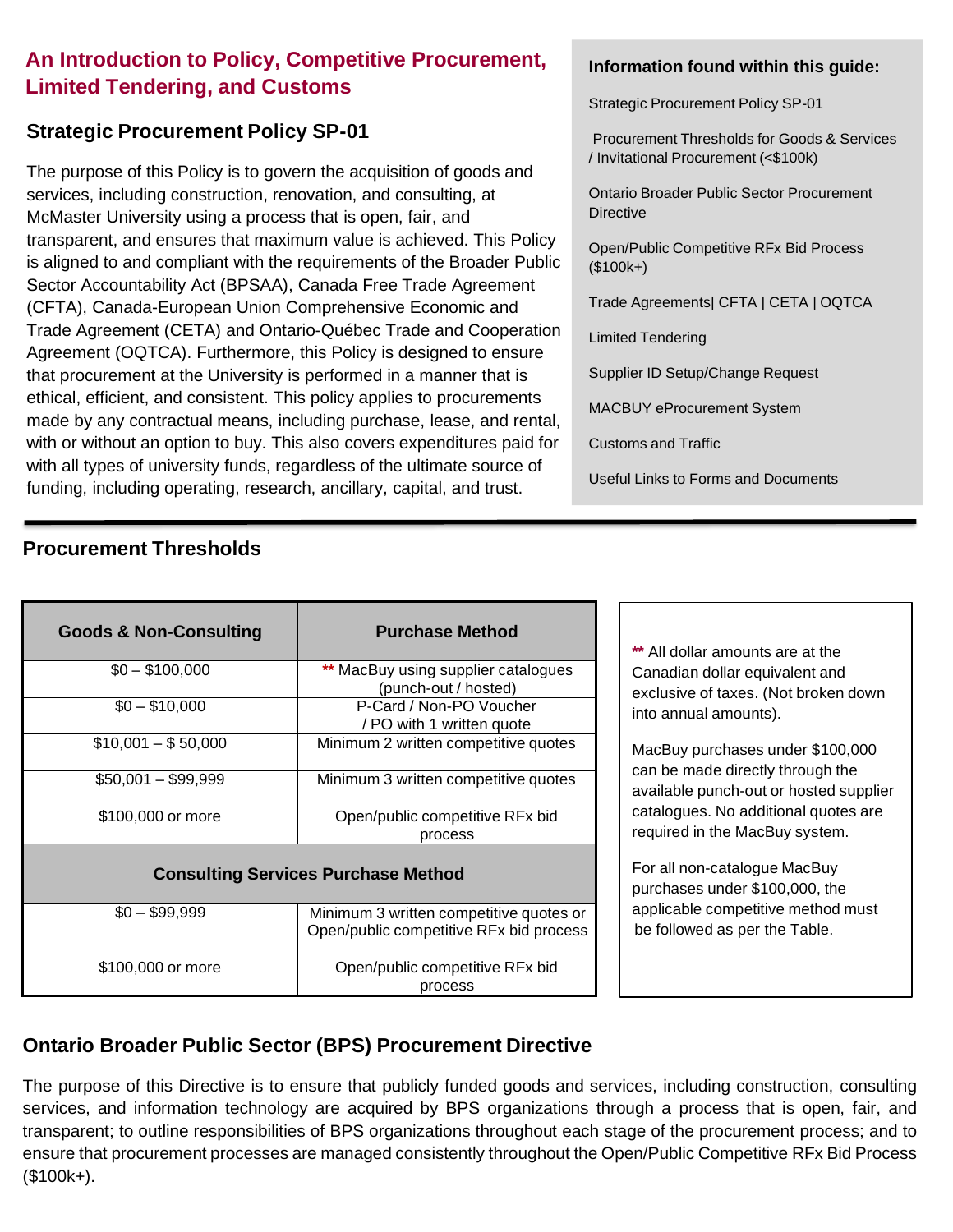## **An Introduction to Policy, Competitive Procurement, Limited Tendering, and Customs**

## **Strategic Procurement Policy SP-01**

The purpose of this Policy is to govern the acquisition of goods and services, including construction, renovation, and consulting, at McMaster University using a process that is open, fair, and transparent, and ensures that maximum value is achieved. This Policy is aligned to and compliant with the requirements of the Broader Public Sector Accountability Act (BPSAA), Canada Free Trade Agreement (CFTA), Canada-European Union Comprehensive Economic and Trade Agreement (CETA) and Ontario-Québec Trade and Cooperation Agreement (OQTCA). Furthermore, this Policy is designed to ensure that procurement at the University is performed in a manner that is ethical, efficient, and consistent. This policy applies to procurements made by any contractual means, including purchase, lease, and rental, with or without an option to buy. This also covers expenditures paid for with all types of university funds, regardless of the ultimate source of funding, including operating, research, ancillary, capital, and trust.

## **Procurement Thresholds**

### **Information found within this guide:**

Strategic Procurement Policy SP-01

Procurement Thresholds for Goods & Services / Invitational Procurement (<\$100k)

Ontario Broader Public Sector Procurement **Directive** 

Open/Public Competitive RFx Bid Process (\$100k+)

Trade Agreements| CFTA | CETA | OQTCA

Limited Tendering

Supplier ID Setup/Change Request

MACBUY eProcurement System

Customs and Traffic

Useful Links to Forms and Documents

| <b>Goods &amp; Non-Consulting</b>          | <b>Purchase Method</b>                                                             |  |  |  |  |
|--------------------------------------------|------------------------------------------------------------------------------------|--|--|--|--|
| $$0 - $100,000$                            | ** MacBuy using supplier catalogues<br>(punch-out / hosted)                        |  |  |  |  |
| $$0 - $10.000$                             | P-Card / Non-PO Voucher<br>/ PO with 1 written quote                               |  |  |  |  |
| $$10,001 - $50,000$                        | Minimum 2 written competitive quotes                                               |  |  |  |  |
| \$50,001 - \$99,999                        | Minimum 3 written competitive quotes                                               |  |  |  |  |
| \$100,000 or more                          | Open/public competitive RFx bid<br>process                                         |  |  |  |  |
| <b>Consulting Services Purchase Method</b> |                                                                                    |  |  |  |  |
| $$0 - $99,999$                             | Minimum 3 written competitive quotes or<br>Open/public competitive RFx bid process |  |  |  |  |
| \$100,000 or more                          | Open/public competitive RFx bid<br>process                                         |  |  |  |  |

**\*\*** All dollar amounts are at the Canadian dollar equivalent and exclusive of taxes. (Not broken down into annual amounts).

MacBuy purchases under \$100,000 can be made directly through the available punch-out or hosted supplier catalogues. No additional quotes are required in the MacBuy system.

For all non-catalogue MacBuy purchases under \$100,000, the applicable competitive method must be followed as per the Table.

## **Ontario Broader Public Sector (BPS) Procurement Directive**

The purpose of this Directive is to ensure that publicly funded goods and services, including construction, consulting services, and information technology are acquired by BPS organizations through a process that is open, fair, and transparent; to outline responsibilities of BPS organizations throughout each stage of the procurement process; and to ensure that procurement processes are managed consistently throughout the Open/Public Competitive RFx Bid Process (\$100k+).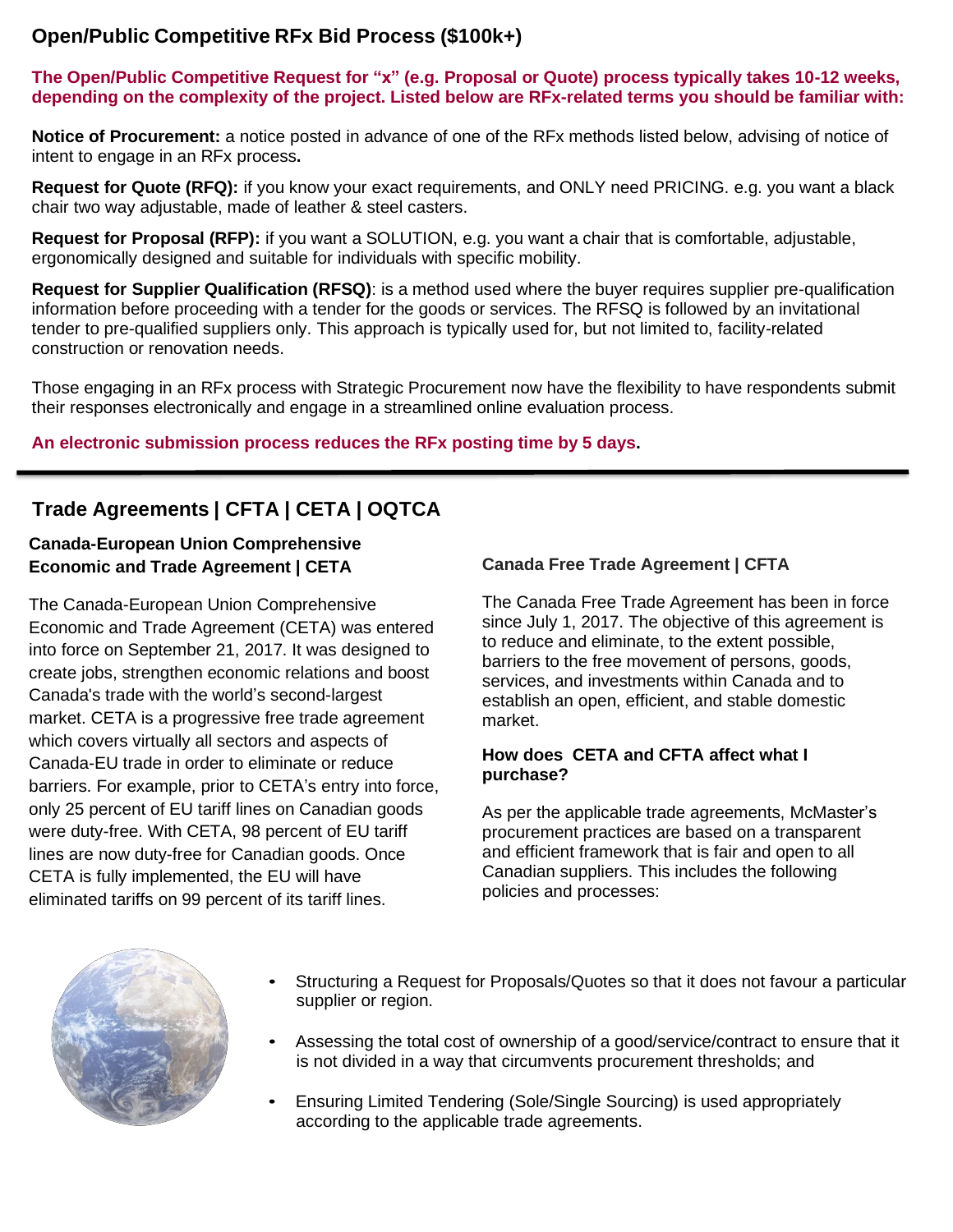## **Open/Public Competitive RFx Bid Process (\$100k+)**

**The Open/Public Competitive Request for "x" (e.g. Proposal or Quote) process typically takes 10-12 weeks, depending on the complexity of the project. Listed below are RFx-related terms you should be familiar with:**

**Notice of Procurement:** a notice posted in advance of one of the RFx methods listed below, advising of notice of intent to engage in an RFx process**.**

**Request for Quote (RFQ):** if you know your exact requirements, and ONLY need PRICING. e.g. you want a black chair two way adjustable, made of leather & steel casters.

**Request for Proposal (RFP):** if you want a SOLUTION, e.g. you want a chair that is comfortable, adjustable, ergonomically designed and suitable for individuals with specific mobility.

**Request for Supplier Qualification (RFSQ)**: is a method used where the buyer requires supplier pre-qualification information before proceeding with a tender for the goods or services. The RFSQ is followed by an invitational tender to pre-qualified suppliers only. This approach is typically used for, but not limited to, facility-related construction or renovation needs.

Those engaging in an RFx process with Strategic Procurement now have the flexibility to have respondents submit their responses electronically and engage in a streamlined online evaluation process.

### **An electronic submission process reduces the RFx posting time by 5 days.**

## **Trade Agreements | CFTA | CETA | OQTCA**

### **Canada-European Union Comprehensive Economic and Trade Agreement | CETA**

The Canada-European Union Comprehensive Economic and Trade Agreement (CETA) was entered into force on September 21, 2017. It was designed to create jobs, strengthen economic relations and boost Canada's trade with the world's second-largest market. CETA is a progressive free trade agreement which covers virtually all sectors and aspects of Canada-EU trade in order to eliminate or reduce barriers. For example, prior to CETA's entry into force, only 25 percent of EU tariff lines on Canadian goods were duty-free. With CETA, 98 percent of EU tariff lines are now duty-free for Canadian goods. Once CETA is fully implemented, the EU will have eliminated tariffs on 99 percent of its tariff lines.

### **Canada Free Trade Agreement | CFTA**

The Canada Free Trade Agreement has been in force since July 1, 2017. The objective of this agreement is to reduce and eliminate, to the extent possible, barriers to the free movement of persons, goods, services, and investments within Canada and to establish an open, efficient, and stable domestic market.

#### **How does CETA and CFTA affect what I purchase?**

As per the applicable trade agreements, McMaster's procurement practices are based on a transparent and efficient framework that is fair and open to all Canadian suppliers. This includes the following policies and processes:



- Structuring a Request for Proposals/Quotes so that it does not favour a particular supplier or region.
- Assessing the total cost of ownership of a good/service/contract to ensure that it is not divided in a way that circumvents procurement thresholds; and
- Ensuring Limited Tendering (Sole/Single Sourcing) is used appropriately according to the applicable trade agreements.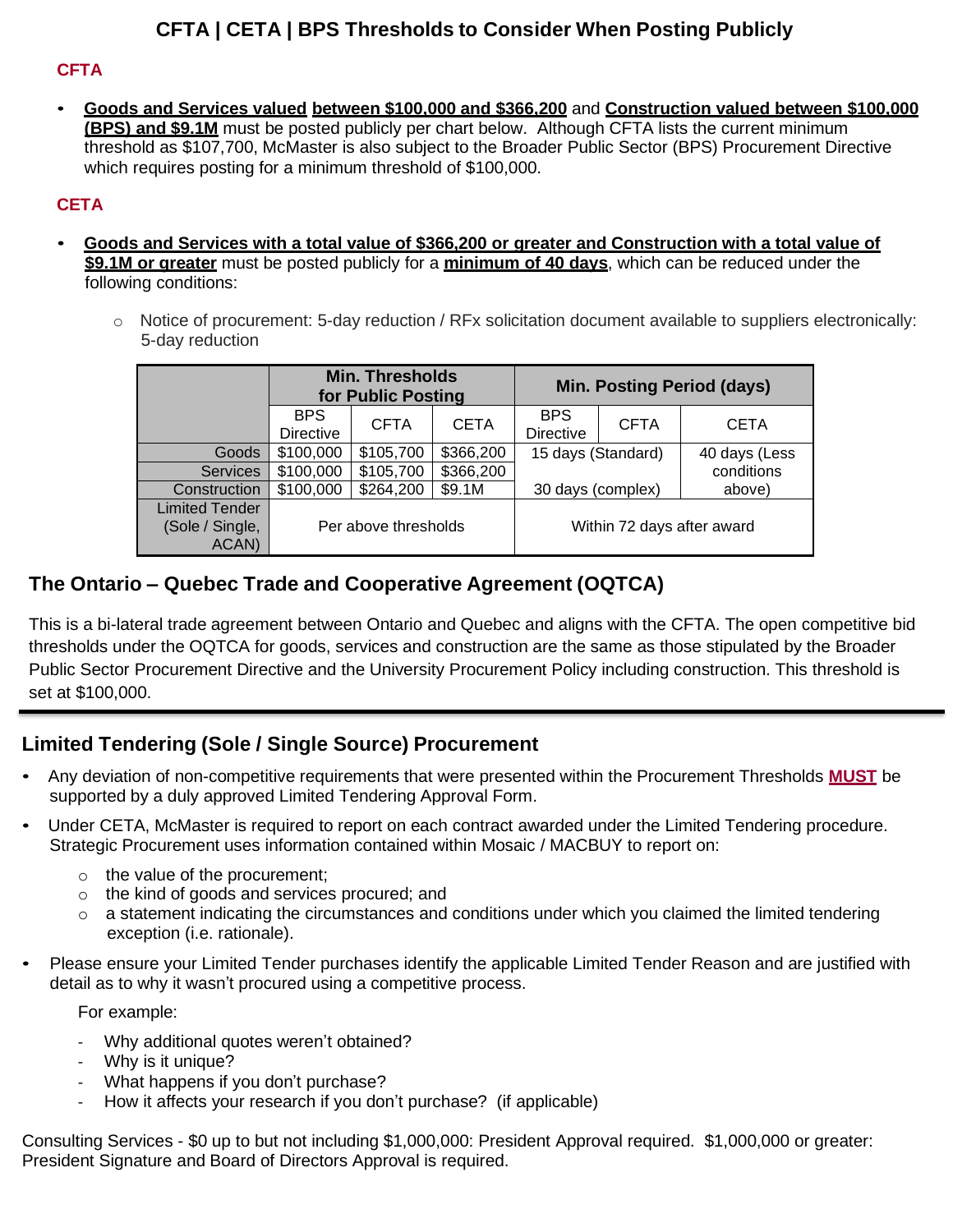## **CFTA | CETA | BPS Thresholds to Consider When Posting Publicly**

### **CFTA**

• **Goods and Services valued between \$100,000 and \$366,200** and **Construction valued between \$100,000 (BPS) and \$9.1M** must be posted publicly per chart below. Although CFTA lists the current minimum threshold as \$107,700, McMaster is also subject to the Broader Public Sector (BPS) Procurement Directive which requires posting for a minimum threshold of \$100,000.

### **CETA**

- **Goods and Services with a total value of \$366,200 or greater and Construction with a total value of \$9.1M or greater** must be posted publicly for a **minimum of 40 days**, which can be reduced under the following conditions:
	- $\circ$  Notice of procurement: 5-day reduction / RFx solicitation document available to suppliers electronically: 5-day reduction

|                                                   | <b>Min. Thresholds</b><br>for Public Posting |             | <b>Min. Posting Period (days)</b> |                                |             |               |
|---------------------------------------------------|----------------------------------------------|-------------|-----------------------------------|--------------------------------|-------------|---------------|
|                                                   | <b>BPS</b><br><b>Directive</b>               | <b>CFTA</b> | <b>CETA</b>                       | <b>BPS</b><br><b>Directive</b> | <b>CFTA</b> | <b>CETA</b>   |
| Goods                                             | \$100,000                                    | \$105,700   | \$366,200                         | 15 days (Standard)             |             | 40 days (Less |
| <b>Services</b>                                   | \$100,000                                    | \$105,700   | \$366,200                         |                                |             | conditions    |
| Construction                                      | \$100,000                                    | \$264,200   | \$9.1M                            | 30 days (complex)              |             | above)        |
| <b>Limited Tender</b><br>(Sole / Single,<br>ACAN) | Per above thresholds                         |             | Within 72 days after award        |                                |             |               |

## **The Ontario – Quebec Trade and Cooperative Agreement (OQTCA)**

This is a bi-lateral trade agreement between Ontario and Quebec and aligns with the CFTA. The open competitive bid thresholds under the OQTCA for goods, services and construction are the same as those stipulated by the Broader Public Sector Procurement Directive and the University Procurement Policy including construction. This threshold is set at \$100,000.

## **Limited Tendering (Sole / Single Source) Procurement**

- Any deviation of non-competitive requirements that were presented within the Procurement Thresholds **MUST** be supported by a duly approved Limited Tendering Approval Form.
- Under CETA, McMaster is required to report on each contract awarded under the Limited Tendering procedure. Strategic Procurement uses information contained within Mosaic / MACBUY to report on:
	- $\circ$  the value of the procurement;
	- o the kind of goods and services procured; and
	- $\circ$  a statement indicating the circumstances and conditions under which you claimed the limited tendering exception (i.e. rationale).
- Please ensure your Limited Tender purchases identify the applicable Limited Tender Reason and are justified with detail as to why it wasn't procured using a competitive process.

For example:

- Why additional quotes weren't obtained?
- Why is it unique?
- What happens if you don't purchase?
- How it affects your research if you don't purchase? (if applicable)

Consulting Services - \$0 up to but not including \$1,000,000: President Approval required. \$1,000,000 or greater: President Signature and Board of Directors Approval is required.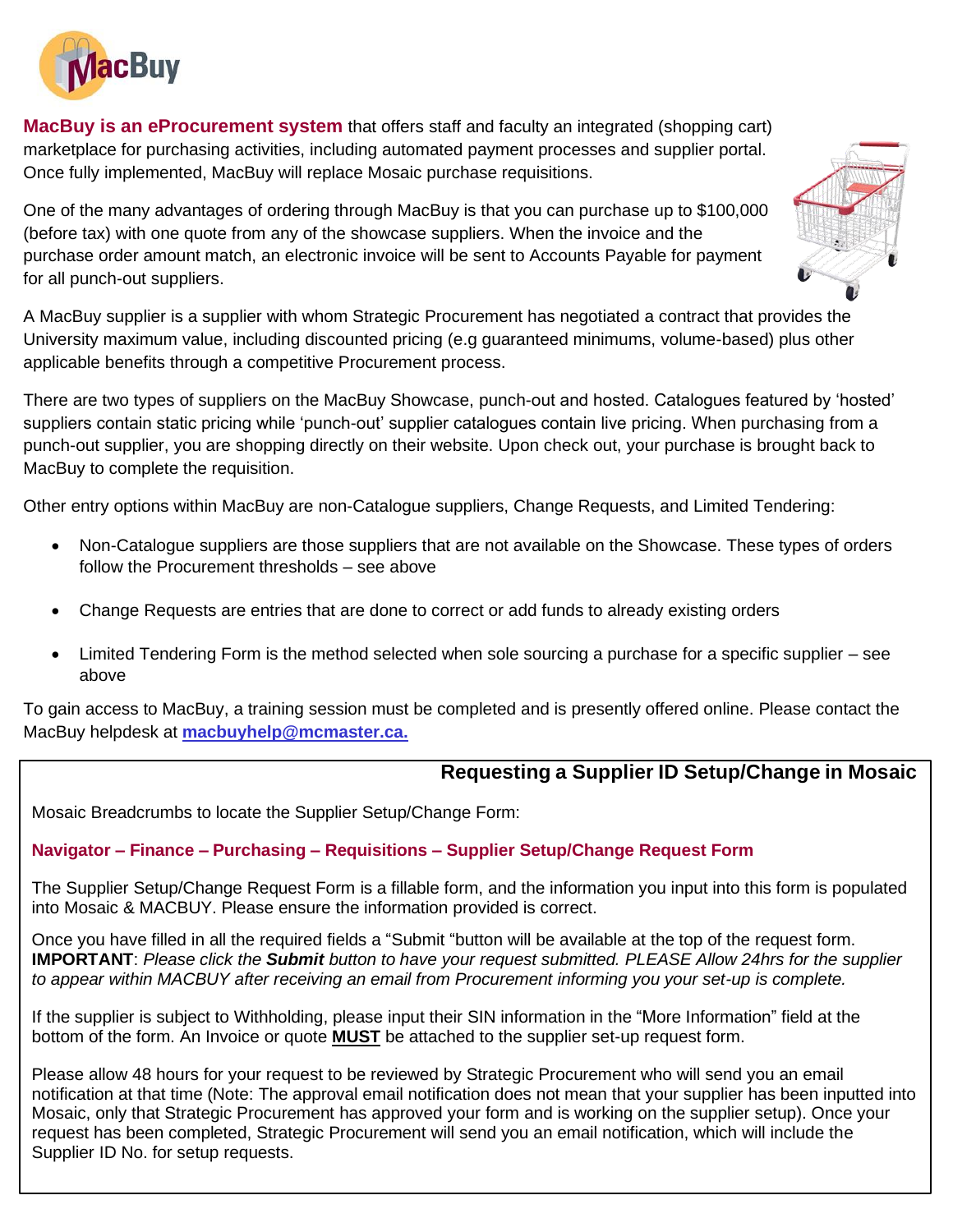

**MacBuy is an eProcurement system** that offers staff and faculty an integrated (shopping cart) marketplace for purchasing activities, including automated payment processes and supplier portal. Once fully implemented, MacBuy will replace Mosaic purchase requisitions.

One of the many advantages of ordering through MacBuy is that you can purchase up to \$100,000 (before tax) with one quote from any of the showcase suppliers. When the invoice and the purchase order amount match, an electronic invoice will be sent to Accounts Payable for payment for all punch-out suppliers.



There are two types of suppliers on the MacBuy Showcase, punch-out and hosted. Catalogues featured by 'hosted' suppliers contain static pricing while 'punch-out' supplier catalogues contain live pricing. When purchasing from a punch-out supplier, you are shopping directly on their website. Upon check out, your purchase is brought back to MacBuy to complete the requisition.

Other entry options within MacBuy are non-Catalogue suppliers, Change Requests, and Limited Tendering:

- Non-Catalogue suppliers are those suppliers that are not available on the Showcase. These types of orders follow the Procurement thresholds – see above
- Change Requests are entries that are done to correct or add funds to already existing orders
- Limited Tendering Form is the method selected when sole sourcing a purchase for a specific supplier see above

To gain access to MacBuy, a training session must be completed and is presently offered online. Please contact the MacBuy helpdesk at **macbuyhelp@mcmaster.ca.**

### **Requesting a Supplier ID Setup/Change in Mosaic**

Mosaic Breadcrumbs to locate the Supplier Setup/Change Form:

#### **Navigator – Finance – Purchasing – Requisitions – Supplier Setup/Change Request Form**

The Supplier Setup/Change Request Form is a fillable form, and the information you input into this form is populated into Mosaic & MACBUY. Please ensure the information provided is correct.

Once you have filled in all the required fields a "Submit "button will be available at the top of the request form. **IMPORTANT**: *Please click the Submit button to have your request submitted. PLEASE Allow 24hrs for the supplier to appear within MACBUY after receiving an email from Procurement informing you your set-up is complete.*

If the supplier is subject to Withholding, please input their SIN information in the "More Information" field at the bottom of the form. An Invoice or quote **MUST** be attached to the supplier set-up request form.

Please allow 48 hours for your request to be reviewed by Strategic Procurement who will send you an email notification at that time (Note: The approval email notification does not mean that your supplier has been inputted into Mosaic, only that Strategic Procurement has approved your form and is working on the supplier setup). Once your request has been completed, Strategic Procurement will send you an email notification, which will include the Supplier ID No. for setup requests.